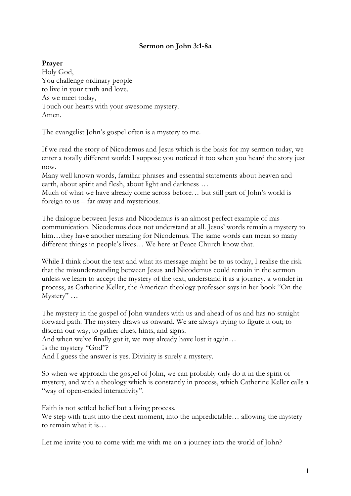## **Sermon on John 3:1-8a**

**Prayer**

Holy God, You challenge ordinary people to live in your truth and love. As we meet today, Touch our hearts with your awesome mystery. Amen.

The evangelist John's gospel often is a mystery to me.

If we read the story of Nicodemus and Jesus which is the basis for my sermon today, we enter a totally different world: I suppose you noticed it too when you heard the story just now.

Many well known words, familiar phrases and essential statements about heaven and earth, about spirit and flesh, about light and darkness …

Much of what we have already come across before… but still part of John's world is foreign to us – far away and mysterious.

The dialogue between Jesus and Nicodemus is an almost perfect example of miscommunication. Nicodemus does not understand at all. Jesus' words remain a mystery to him...they have another meaning for Nicodemus. The same words can mean so many different things in people's lives… We here at Peace Church know that.

While I think about the text and what its message might be to us today, I realise the risk that the misunderstanding between Jesus and Nicodemus could remain in the sermon unless we learn to accept the mystery of the text, understand it as a journey, a wonder in process, as Catherine Keller, the American theology professor says in her book "On the Mystery" …

The mystery in the gospel of John wanders with us and ahead of us and has no straight forward path. The mystery draws us onward. We are always trying to figure it out; to discern our way; to gather clues, hints, and signs.

And when we've finally got it, we may already have lost it again…

Is the mystery "God"?

And I guess the answer is yes. Divinity is surely a mystery.

So when we approach the gospel of John, we can probably only do it in the spirit of mystery, and with a theology which is constantly in process, which Catherine Keller calls a "way of open-ended interactivity".

Faith is not settled belief but a living process. We step with trust into the next moment, into the unpredictable... allowing the mystery to remain what it is…

Let me invite you to come with me with me on a journey into the world of John?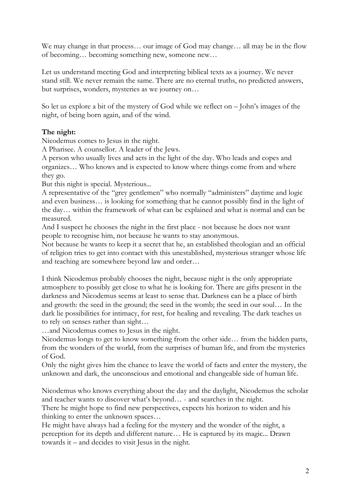We may change in that process... our image of God may change... all may be in the flow of becoming… becoming something new, someone new…

Let us understand meeting God and interpreting biblical texts as a journey. We never stand still. We never remain the same. There are no eternal truths, no predicted answers, but surprises, wonders, mysteries as we journey on…

So let us explore a bit of the mystery of God while we reflect on – John's images of the night, of being born again, and of the wind.

## **The night:**

Nicodemus comes to Jesus in the night.

A Pharisee. A counsellor. A leader of the Jews.

A person who usually lives and acts in the light of the day. Who leads and copes and organizes… Who knows and is expected to know where things come from and where they go.

But this night is special. Mysterious...

A representative of the "grey gentlemen" who normally "administers" daytime and logic and even business… is looking for something that he cannot possibly find in the light of the day… within the framework of what can be explained and what is normal and can be measured.

And I suspect he chooses the night in the first place - not because he does not want people to recognise him, not because he wants to stay anonymous.

Not because he wants to keep it a secret that he, an established theologian and an official of religion tries to get into contact with this unestablished, mysterious stranger whose life and teaching are somewhere beyond law and order…

I think Nicodemus probably chooses the night, because night is the only appropriate atmosphere to possibly get close to what he is looking for. There are gifts present in the darkness and Nicodemus seems at least to sense that. Darkness can be a place of birth and growth: the seed in the ground; the seed in the womb; the seed in our soul… In the dark lie possibilities for intimacy, for rest, for healing and revealing. The dark teaches us to rely on senses rather than sight…

…and Nicodemus comes to Jesus in the night.

Nicodemus longs to get to know something from the other side… from the hidden parts, from the wonders of the world, from the surprises of human life, and from the mysteries of God.

Only the night gives him the chance to leave the world of facts and enter the mystery, the unknown and dark, the unconscious and emotional and changeable side of human life.

Nicodemus who knows everything about the day and the daylight, Nicodemus the scholar and teacher wants to discover what's beyond… - and searches in the night.

There he might hope to find new perspectives, expects his horizon to widen and his thinking to enter the unknown spaces…

He might have always had a feeling for the mystery and the wonder of the night, a perception for its depth and different nature… He is captured by its magic... Drawn towards it – and decides to visit Jesus in the night.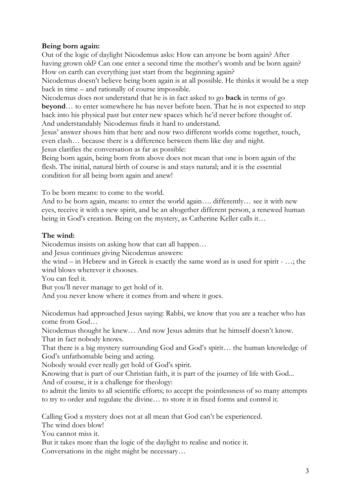## **Being born again:**

Out of the logic of daylight Nicodemus asks: How can anyone be born again? After having grown old? Can one enter a second time the mother's womb and be born again? How on earth can everything just start from the beginning again?

Nicodemus doesn't believe being born again is at all possible. He thinks it would be a step back in time – and rationally of course impossible.

Nicodemus does not understand that he is in fact asked to go **back** in terms of go **beyond**… to enter somewhere he has never before been. That he is not expected to step back into his physical past but enter new spaces which he'd never before thought of. And understandably Nicodemus finds it hard to understand.

Jesus' answer shows him that here and now two different worlds come together, touch, even clash… because there is a difference between them like day and night. Jesus clarifies the conversation as far as possible:

Being born again, being born from above does not mean that one is born again of the flesh. The initial, natural birth of course is and stays natural; and it is the essential condition for all being born again and anew!

To be born means: to come to the world.

And to be born again, means: to enter the world again…. differently… see it with new eyes, receive it with a new spirit, and be an altogether different person, a renewed human being in God's creation. Being on the mystery, as Catherine Keller calls it…

## **The wind:**

Nicodemus insists on asking how that can all happen…

and Jesus continues giving Nicodemus answers:

the wind – in Hebrew and in Greek is exactly the same word as is used for spirit - …; the wind blows wherever it chooses.

You can feel it.

But you'll never manage to get hold of it.

And you never know where it comes from and where it goes.

Nicodemus had approached Jesus saying: Rabbi, we know that you are a teacher who has come from God…

Nicodemus thought he knew… And now Jesus admits that he himself doesn't know. That in fact nobody knows.

That there is a big mystery surrounding God and God's spirit… the human knowledge of God's unfathomable being and acting.

Nobody would ever really get hold of God's spirit.

Knowing that is part of our Christian faith, it is part of the journey of life with God... And of course, it is a challenge for theology:

to admit the limits to all scientific efforts; to accept the pointlessness of so many attempts to try to order and regulate the divine… to store it in fixed forms and control it.

Calling God a mystery does not at all mean that God can't be experienced.

The wind does blow!

You cannot miss it.

But it takes more than the logic of the daylight to realise and notice it. Conversations in the night might be necessary…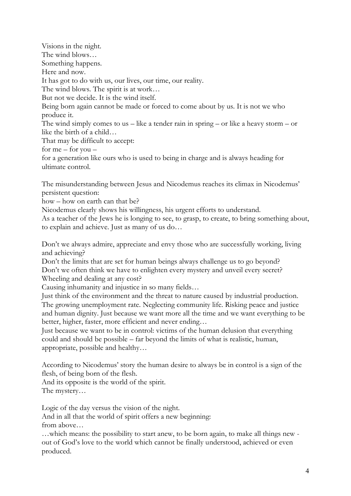Visions in the night. The wind blows… Something happens. Here and now. It has got to do with us, our lives, our time, our reality. The wind blows. The spirit is at work… But not we decide. It is the wind itself. Being born again cannot be made or forced to come about by us. It is not we who produce it. The wind simply comes to us – like a tender rain in spring – or like a heavy storm – or like the birth of a child… That may be difficult to accept: for  $me$  – for  $you$  – for a generation like ours who is used to being in charge and is always heading for ultimate control.

The misunderstanding between Jesus and Nicodemus reaches its climax in Nicodemus' persistent question:

how – how on earth can that be?

Nicodemus clearly shows his willingness, his urgent efforts to understand.

As a teacher of the Jews he is longing to see, to grasp, to create, to bring something about, to explain and achieve. Just as many of us do…

Don't we always admire, appreciate and envy those who are successfully working, living and achieving?

Don't the limits that are set for human beings always challenge us to go beyond? Don't we often think we have to enlighten every mystery and unveil every secret? Wheeling and dealing at any cost?

Causing inhumanity and injustice in so many fields…

Just think of the environment and the threat to nature caused by industrial production. The growing unemployment rate. Neglecting community life. Risking peace and justice and human dignity. Just because we want more all the time and we want everything to be better, higher, faster, more efficient and never ending…

Just because we want to be in control: victims of the human delusion that everything could and should be possible – far beyond the limits of what is realistic, human, appropriate, possible and healthy…

According to Nicodemus' story the human desire to always be in control is a sign of the flesh, of being born of the flesh.

And its opposite is the world of the spirit. The mystery…

Logic of the day versus the vision of the night.

And in all that the world of spirit offers a new beginning: from above…

…which means: the possibility to start anew, to be born again, to make all things new out of God's love to the world which cannot be finally understood, achieved or even produced.